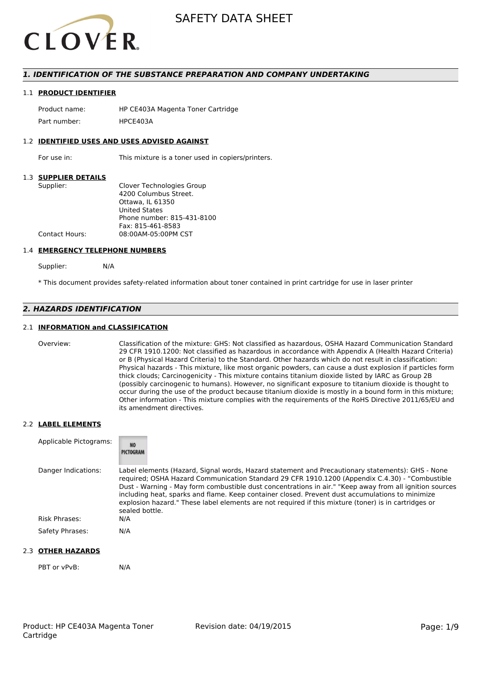

### *1. IDENTIFICATION OF THE SUBSTANCE PREPARATION AND COMPANY UNDERTAKING*

#### 1.1 **PRODUCT IDENTIFIER**

Product name: HP CE403A Magenta Toner Cartridge Part number: HPCF4034

#### 1.2 **IDENTIFIED USES AND USES ADVISED AGAINST**

For use in: This mixture is a toner used in copiers/printers.

#### 1.3 **SUPPLIER DETAILS**

| Supplier:      | Clover Technologies Group  |
|----------------|----------------------------|
|                | 4200 Columbus Street.      |
|                | Ottawa. IL 61350           |
|                | <b>United States</b>       |
|                | Phone number: 815-431-8100 |
|                | Fax: 815-461-8583          |
| Contact Hours: | 08:00AM-05:00PM CST        |
|                |                            |

#### 1.4 **EMERGENCY TELEPHONE NUMBERS**

Supplier: N/A

\* This document provides safety-related information about toner contained in print cartridge for use in laser printer

# *2. HAZARDS IDENTIFICATION*

#### 2.1 **INFORMATION and CLASSIFICATION**

Overview: Classification of the mixture: GHS: Not classified as hazardous, OSHA Hazard Communication Standard 29 CFR 1910.1200: Not classified as hazardous in accordance with Appendix A (Health Hazard Criteria) or B (Physical Hazard Criteria) to the Standard. Other hazards which do not result in classification: Physical hazards - This mixture, like most organic powders, can cause a dust explosion if particles form thick clouds; Carcinogenicity - This mixture contains titanium dioxide listed by IARC as Group 2B (possibly carcinogenic to humans). However, no significant exposure to titanium dioxide is thought to occur during the use of the product because titanium dioxide is mostly in a bound form in this mixture; Other information - This mixture complies with the requirements of the RoHS Directive 2011/65/EU and its amendment directives.

#### 2.2 **LABEL ELEMENTS**

| Applicable Pictograms: | <b>NO</b><br>PICTOGRAM                                                                                                                                                                                                                                                                                                                                                                                                                                                                                                                     |
|------------------------|--------------------------------------------------------------------------------------------------------------------------------------------------------------------------------------------------------------------------------------------------------------------------------------------------------------------------------------------------------------------------------------------------------------------------------------------------------------------------------------------------------------------------------------------|
| Danger Indications:    | Label elements (Hazard, Signal words, Hazard statement and Precautionary statements): GHS - None<br>required; OSHA Hazard Communication Standard 29 CFR 1910.1200 (Appendix C.4.30) - "Combustible<br>Dust - Warning - May form combustible dust concentrations in air." "Keep away from all ignition sources<br>including heat, sparks and flame. Keep container closed. Prevent dust accumulations to minimize<br>explosion hazard." These label elements are not required if this mixture (toner) is in cartridges or<br>sealed bottle. |
| Risk Phrases:          | N/A                                                                                                                                                                                                                                                                                                                                                                                                                                                                                                                                        |
| Safety Phrases:        | N/A                                                                                                                                                                                                                                                                                                                                                                                                                                                                                                                                        |

#### 2.3 **OTHER HAZARDS**

PBT or vPvB: N/A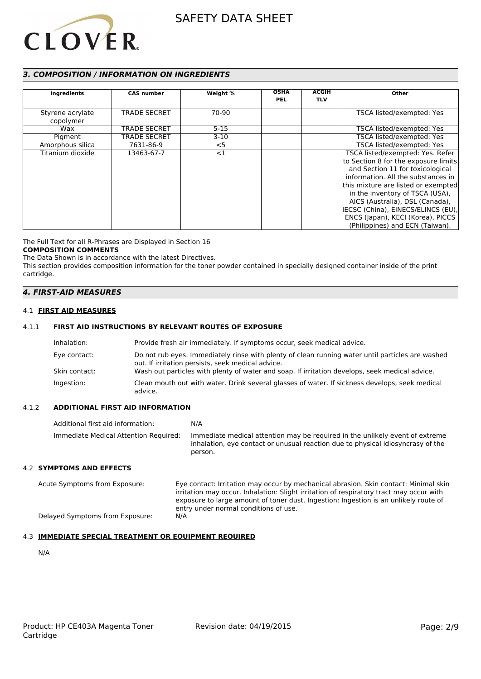

### *3. COMPOSITION / INFORMATION ON INGREDIENTS*

| Ingredients                   | <b>CAS number</b>   | Weight % | <b>OSHA</b><br><b>PEL</b> | <b>ACGIH</b><br><b>TLV</b> | Other                                                                                                                                                                                                                                                                                                                                                                         |
|-------------------------------|---------------------|----------|---------------------------|----------------------------|-------------------------------------------------------------------------------------------------------------------------------------------------------------------------------------------------------------------------------------------------------------------------------------------------------------------------------------------------------------------------------|
| Styrene acrylate<br>copolymer | <b>TRADE SECRET</b> | 70-90    |                           |                            | TSCA listed/exempted: Yes                                                                                                                                                                                                                                                                                                                                                     |
| Wax                           | <b>TRADE SECRET</b> | $5 - 15$ |                           |                            | TSCA listed/exempted: Yes                                                                                                                                                                                                                                                                                                                                                     |
| Pigment                       | <b>TRADE SECRET</b> | $3-10$   |                           |                            | TSCA listed/exempted: Yes                                                                                                                                                                                                                                                                                                                                                     |
| Amorphous silica              | 7631-86-9           | $<$ 5    |                           |                            | TSCA listed/exempted: Yes                                                                                                                                                                                                                                                                                                                                                     |
| Titanium dioxide              | 13463-67-7          | $<$ 1    |                           |                            | TSCA listed/exempted: Yes. Refer<br>to Section 8 for the exposure limits<br>and Section 11 for toxicological<br>information. All the substances in<br>this mixture are listed or exempted<br>in the inventory of TSCA (USA),<br>AICS (Australia), DSL (Canada),<br>IECSC (China), EINECS/ELINCS (EU),<br>ENCS (Japan), KECI (Korea), PICCS<br>(Philippines) and ECN (Taiwan). |

The Full Text for all R-Phrases are Displayed in Section 16

#### **COMPOSITION COMMENTS**

The Data Shown is in accordance with the latest Directives. This section provides composition information for the toner powder contained in specially designed container inside of the print cartridge.

#### *4. FIRST-AID MEASURES*

#### 4.1 **FIRST AID MEASURES**

### 4.1.1 **FIRST AID INSTRUCTIONS BY RELEVANT ROUTES OF EXPOSURE**

| Inhalation:   | Provide fresh air immediately. If symptoms occur, seek medical advice.                                                                                |
|---------------|-------------------------------------------------------------------------------------------------------------------------------------------------------|
| Eye contact:  | Do not rub eyes. Immediately rinse with plenty of clean running water until particles are washed<br>out. If irritation persists, seek medical advice. |
| Skin contact: | Wash out particles with plenty of water and soap. If irritation develops, seek medical advice.                                                        |
| Ingestion:    | Clean mouth out with water. Drink several glasses of water. If sickness develops, seek medical<br>advice.                                             |

#### 4.1.2 **ADDITIONAL FIRST AID INFORMATION**

| Additional first aid information:     | N/A                                                                                                                                                                        |
|---------------------------------------|----------------------------------------------------------------------------------------------------------------------------------------------------------------------------|
| Immediate Medical Attention Required: | Immediate medical attention may be required in the unlikely event of extreme<br>inhalation, eye contact or unusual reaction due to physical idiosyncrasy of the<br>person. |

#### 4.2 **SYMPTOMS AND EFFECTS**

Acute Symptoms from Exposure: Eye contact: Irritation may occur by mechanical abrasion. Skin contact: Minimal skin irritation may occur. Inhalation: Slight irritation of respiratory tract may occur with exposure to large amount of toner dust. Ingestion: Ingestion is an unlikely route of entry under normal conditions of use. Delayed Symptoms from Exposure: N/A

### 4.3 **IMMEDIATE SPECIAL TREATMENT OR EQUIPMENT REQUIRED**

N/A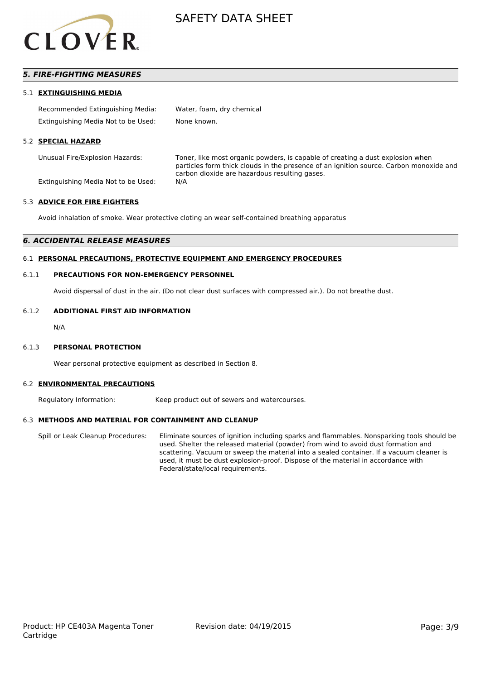

### *5. FIRE-FIGHTING MEASURES*

#### 5.1 **EXTINGUISHING MEDIA**

| Recommended Extinguishing Media:    | Water, foam, dry chemical |
|-------------------------------------|---------------------------|
| Extinguishing Media Not to be Used: | None known.               |

#### 5.2 **SPECIAL HAZARD**

Unusual Fire/Explosion Hazards: Toner, like most organic powders, is capable of creating a dust explosion when particles form thick clouds in the presence of an ignition source. Carbon monoxide and carbon dioxide are hazardous resulting gases.

Extinguishing Media Not to be Used: N/A

#### 5.3 **ADVICE FOR FIRE FIGHTERS**

Avoid inhalation of smoke. Wear protective cloting an wear self-contained breathing apparatus

#### *6. ACCIDENTAL RELEASE MEASURES*

#### 6.1 **PERSONAL PRECAUTIONS, PROTECTIVE EQUIPMENT AND EMERGENCY PROCEDURES**

#### 6.1.1 **PRECAUTIONS FOR NON-EMERGENCY PERSONNEL**

Avoid dispersal of dust in the air. (Do not clear dust surfaces with compressed air.). Do not breathe dust.

#### 6.1.2 **ADDITIONAL FIRST AID INFORMATION**

N/A

#### 6.1.3 **PERSONAL PROTECTION**

Wear personal protective equipment as described in Section 8.

#### 6.2 **ENVIRONMENTAL PRECAUTIONS**

Regulatory Information: Keep product out of sewers and watercourses.

#### 6.3 **METHODS AND MATERIAL FOR CONTAINMENT AND CLEANUP**

Spill or Leak Cleanup Procedures: Eliminate sources of ignition including sparks and flammables. Nonsparking tools should be used. Shelter the released material (powder) from wind to avoid dust formation and scattering. Vacuum or sweep the material into a sealed container. If a vacuum cleaner is used, it must be dust explosion-proof. Dispose of the material in accordance with Federal/state/local requirements.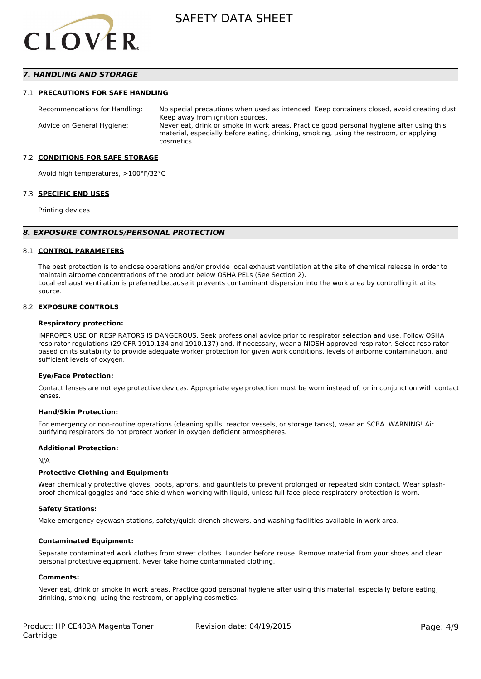

### *7. HANDLING AND STORAGE*

#### 7.1 **PRECAUTIONS FOR SAFE HANDLING**

Recommendations for Handling: No special precautions when used as intended. Keep containers closed, avoid creating dust. Keep away from ignition sources. Advice on General Hygiene: Never eat, drink or smoke in work areas. Practice good personal hygiene after using this material, especially before eating, drinking, smoking, using the restroom, or applying cosmetics.

#### 7.2 **CONDITIONS FOR SAFE STORAGE**

Avoid high temperatures, >100°F/32°C

#### 7.3 **SPECIFIC END USES**

Printing devices

#### *8. EXPOSURE CONTROLS/PERSONAL PROTECTION*

#### 8.1 **CONTROL PARAMETERS**

The best protection is to enclose operations and/or provide local exhaust ventilation at the site of chemical release in order to maintain airborne concentrations of the product below OSHA PELs (See Section 2). Local exhaust ventilation is preferred because it prevents contaminant dispersion into the work area by controlling it at its source.

#### 8.2 **EXPOSURE CONTROLS**

#### **Respiratory protection:**

IMPROPER USE OF RESPIRATORS IS DANGEROUS. Seek professional advice prior to respirator selection and use. Follow OSHA respirator regulations (29 CFR 1910.134 and 1910.137) and, if necessary, wear a NIOSH approved respirator. Select respirator based on its suitability to provide adequate worker protection for given work conditions, levels of airborne contamination, and sufficient levels of oxygen.

#### **Eye/Face Protection:**

Contact lenses are not eye protective devices. Appropriate eye protection must be worn instead of, or in conjunction with contact lenses.

#### **Hand/Skin Protection:**

For emergency or non-routine operations (cleaning spills, reactor vessels, or storage tanks), wear an SCBA. WARNING! Air purifying respirators do not protect worker in oxygen deficient atmospheres.

#### **Additional Protection:**

N/A

#### **Protective Clothing and Equipment:**

Wear chemically protective gloves, boots, aprons, and gauntlets to prevent prolonged or repeated skin contact. Wear splashproof chemical goggles and face shield when working with liquid, unless full face piece respiratory protection is worn.

#### **Safety Stations:**

Make emergency eyewash stations, safety/quick-drench showers, and washing facilities available in work area.

#### **Contaminated Equipment:**

Separate contaminated work clothes from street clothes. Launder before reuse. Remove material from your shoes and clean personal protective equipment. Never take home contaminated clothing.

#### **Comments:**

Never eat, drink or smoke in work areas. Practice good personal hygiene after using this material, especially before eating, drinking, smoking, using the restroom, or applying cosmetics.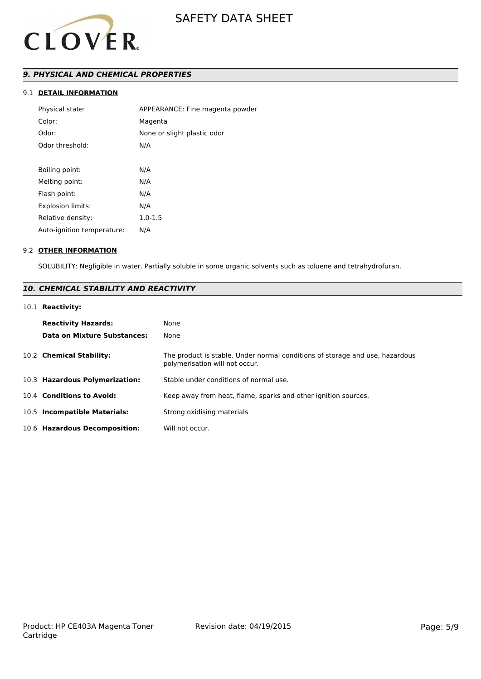

# *9. PHYSICAL AND CHEMICAL PROPERTIES*

### 9.1 **DETAIL INFORMATION**

| Physical state:            | APPEARANCE: Fine magenta powder |
|----------------------------|---------------------------------|
| Color:                     | Magenta                         |
| Odor:                      | None or slight plastic odor     |
| Odor threshold:            | N/A                             |
|                            |                                 |
| Boiling point:             | N/A                             |
| Melting point:             | N/A                             |
| Flash point:               | N/A                             |
| <b>Explosion limits:</b>   | N/A                             |
| Relative density:          | $1.0 - 1.5$                     |
| Auto-ignition temperature: | N/A                             |
|                            |                                 |

#### 9.2 **OTHER INFORMATION**

SOLUBILITY: Negligible in water. Partially soluble in some organic solvents such as toluene and tetrahydrofuran.

# *10. CHEMICAL STABILITY AND REACTIVITY*

#### 10.1 **Reactivity:**

| <b>Reactivity Hazards:</b><br>Data on Mixture Substances: | None<br>None                                                                                                   |
|-----------------------------------------------------------|----------------------------------------------------------------------------------------------------------------|
| 10.2 Chemical Stability:                                  | The product is stable. Under normal conditions of storage and use, hazardous<br>polymerisation will not occur. |
| 10.3 Hazardous Polymerization:                            | Stable under conditions of normal use.                                                                         |
| 10.4 Conditions to Avoid:                                 | Keep away from heat, flame, sparks and other ignition sources.                                                 |
| 10.5 Incompatible Materials:                              | Strong oxidising materials                                                                                     |
| 10.6 Hazardous Decomposition:                             | Will not occur.                                                                                                |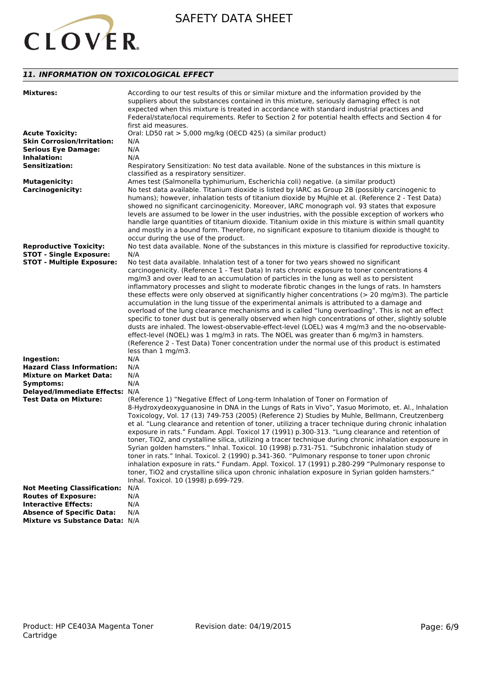

# *11. INFORMATION ON TOXICOLOGICAL EFFECT*

| <b>Mixtures:</b>                   | According to our test results of this or similar mixture and the information provided by the<br>suppliers about the substances contained in this mixture, seriously damaging effect is not<br>expected when this mixture is treated in accordance with standard industrial practices and<br>Federal/state/local requirements. Refer to Section 2 for potential health effects and Section 4 for<br>first aid measures.                                                                                                                                                                                                                                         |
|------------------------------------|----------------------------------------------------------------------------------------------------------------------------------------------------------------------------------------------------------------------------------------------------------------------------------------------------------------------------------------------------------------------------------------------------------------------------------------------------------------------------------------------------------------------------------------------------------------------------------------------------------------------------------------------------------------|
| <b>Acute Toxicity:</b>             | Oral: LD50 rat > 5,000 mg/kg (OECD 425) (a similar product)                                                                                                                                                                                                                                                                                                                                                                                                                                                                                                                                                                                                    |
| <b>Skin Corrosion/Irritation:</b>  | N/A                                                                                                                                                                                                                                                                                                                                                                                                                                                                                                                                                                                                                                                            |
| <b>Serious Eye Damage:</b>         | N/A                                                                                                                                                                                                                                                                                                                                                                                                                                                                                                                                                                                                                                                            |
| <b>Inhalation:</b>                 | N/A                                                                                                                                                                                                                                                                                                                                                                                                                                                                                                                                                                                                                                                            |
| <b>Sensitization:</b>              | Respiratory Sensitization: No test data available. None of the substances in this mixture is<br>classified as a respiratory sensitizer.                                                                                                                                                                                                                                                                                                                                                                                                                                                                                                                        |
| <b>Mutagenicity:</b>               | Ames test (Salmonella typhimurium, Escherichia coli) negative. (a similar product)                                                                                                                                                                                                                                                                                                                                                                                                                                                                                                                                                                             |
| <b>Carcinogenicity:</b>            | No test data available. Titanium dioxide is listed by IARC as Group 2B (possibly carcinogenic to<br>humans); however, inhalation tests of titanium dioxide by Mujhle et al. (Reference 2 - Test Data)<br>showed no significant carcinogenicity. Moreover, IARC monograph vol. 93 states that exposure<br>levels are assumed to be lower in the user industries, with the possible exception of workers who<br>handle large quantities of titanium dioxide. Titanium oxide in this mixture is within small quantity<br>and mostly in a bound form. Therefore, no significant exposure to titanium dioxide is thought to<br>occur during the use of the product. |
| <b>Reproductive Toxicity:</b>      | No test data available. None of the substances in this mixture is classified for reproductive toxicity.                                                                                                                                                                                                                                                                                                                                                                                                                                                                                                                                                        |
| <b>STOT - Single Exposure:</b>     | N/A                                                                                                                                                                                                                                                                                                                                                                                                                                                                                                                                                                                                                                                            |
| <b>STOT - Multiple Exposure:</b>   | No test data available. Inhalation test of a toner for two years showed no significant                                                                                                                                                                                                                                                                                                                                                                                                                                                                                                                                                                         |
|                                    | carcinogenicity. (Reference 1 - Test Data) In rats chronic exposure to toner concentrations 4                                                                                                                                                                                                                                                                                                                                                                                                                                                                                                                                                                  |
|                                    | mg/m3 and over lead to an accumulation of particles in the lung as well as to persistent                                                                                                                                                                                                                                                                                                                                                                                                                                                                                                                                                                       |
|                                    | inflammatory processes and slight to moderate fibrotic changes in the lungs of rats. In hamsters                                                                                                                                                                                                                                                                                                                                                                                                                                                                                                                                                               |
|                                    | these effects were only observed at significantly higher concentrations ( $>$ 20 mg/m3). The particle                                                                                                                                                                                                                                                                                                                                                                                                                                                                                                                                                          |
|                                    | accumulation in the lung tissue of the experimental animals is attributed to a damage and                                                                                                                                                                                                                                                                                                                                                                                                                                                                                                                                                                      |
|                                    | overload of the lung clearance mechanisms and is called "lung overloading". This is not an effect                                                                                                                                                                                                                                                                                                                                                                                                                                                                                                                                                              |
|                                    | specific to toner dust but is generally observed when high concentrations of other, slightly soluble                                                                                                                                                                                                                                                                                                                                                                                                                                                                                                                                                           |
|                                    | dusts are inhaled. The lowest-observable-effect-level (LOEL) was 4 mg/m3 and the no-observable-                                                                                                                                                                                                                                                                                                                                                                                                                                                                                                                                                                |
|                                    | effect-level (NOEL) was 1 mg/m3 in rats. The NOEL was greater than 6 mg/m3 in hamsters.                                                                                                                                                                                                                                                                                                                                                                                                                                                                                                                                                                        |
|                                    | (Reference 2 - Test Data) Toner concentration under the normal use of this product is estimated                                                                                                                                                                                                                                                                                                                                                                                                                                                                                                                                                                |
|                                    | less than 1 mg/m3.                                                                                                                                                                                                                                                                                                                                                                                                                                                                                                                                                                                                                                             |
|                                    |                                                                                                                                                                                                                                                                                                                                                                                                                                                                                                                                                                                                                                                                |
| Ingestion:                         | N/A                                                                                                                                                                                                                                                                                                                                                                                                                                                                                                                                                                                                                                                            |
| <b>Hazard Class Information:</b>   | N/A                                                                                                                                                                                                                                                                                                                                                                                                                                                                                                                                                                                                                                                            |
| <b>Mixture on Market Data:</b>     | N/A                                                                                                                                                                                                                                                                                                                                                                                                                                                                                                                                                                                                                                                            |
| Symptoms:                          | N/A                                                                                                                                                                                                                                                                                                                                                                                                                                                                                                                                                                                                                                                            |
| Delayed/Immediate Effects: N/A     |                                                                                                                                                                                                                                                                                                                                                                                                                                                                                                                                                                                                                                                                |
| Test Data on Mixture:              | (Reference 1) "Negative Effect of Long-term Inhalation of Toner on Formation of                                                                                                                                                                                                                                                                                                                                                                                                                                                                                                                                                                                |
|                                    | 8-Hydroxydeoxyguanosine in DNA in the Lungs of Rats in Vivo", Yasuo Morimoto, et. Al., Inhalation                                                                                                                                                                                                                                                                                                                                                                                                                                                                                                                                                              |
|                                    | Toxicology, Vol. 17 (13) 749-753 (2005) (Reference 2) Studies by Muhle, Bellmann, Creutzenberg                                                                                                                                                                                                                                                                                                                                                                                                                                                                                                                                                                 |
|                                    | et al. "Lung clearance and retention of toner, utilizing a tracer technique during chronic inhalation                                                                                                                                                                                                                                                                                                                                                                                                                                                                                                                                                          |
|                                    | exposure in rats." Fundam. Appl. Toxicol 17 (1991) p.300-313. "Lung clearance and retention of                                                                                                                                                                                                                                                                                                                                                                                                                                                                                                                                                                 |
|                                    | toner, TiO2, and crystalline silica, utilizing a tracer technique during chronic inhalation exposure in                                                                                                                                                                                                                                                                                                                                                                                                                                                                                                                                                        |
|                                    | Syrian golden hamsters." Inhal. Toxicol. 10 (1998) p.731-751. "Subchronic inhalation study of                                                                                                                                                                                                                                                                                                                                                                                                                                                                                                                                                                  |
|                                    | toner in rats." Inhal. Toxicol. 2 (1990) p.341-360. "Pulmonary response to toner upon chronic                                                                                                                                                                                                                                                                                                                                                                                                                                                                                                                                                                  |
|                                    | inhalation exposure in rats." Fundam. Appl. Toxicol. 17 (1991) p.280-299 "Pulmonary response to                                                                                                                                                                                                                                                                                                                                                                                                                                                                                                                                                                |
|                                    | toner, TiO2 and crystalline silica upon chronic inhalation exposure in Syrian golden hamsters."                                                                                                                                                                                                                                                                                                                                                                                                                                                                                                                                                                |
|                                    | Inhal. Toxicol. 10 (1998) p.699-729.                                                                                                                                                                                                                                                                                                                                                                                                                                                                                                                                                                                                                           |
| <b>Not Meeting Classification:</b> | N/A                                                                                                                                                                                                                                                                                                                                                                                                                                                                                                                                                                                                                                                            |
| <b>Routes of Exposure:</b>         | N/A                                                                                                                                                                                                                                                                                                                                                                                                                                                                                                                                                                                                                                                            |
| <b>Interactive Effects:</b>        | N/A                                                                                                                                                                                                                                                                                                                                                                                                                                                                                                                                                                                                                                                            |
| <b>Absence of Specific Data:</b>   | N/A                                                                                                                                                                                                                                                                                                                                                                                                                                                                                                                                                                                                                                                            |
| Mixture vs Substance Data: N/A     |                                                                                                                                                                                                                                                                                                                                                                                                                                                                                                                                                                                                                                                                |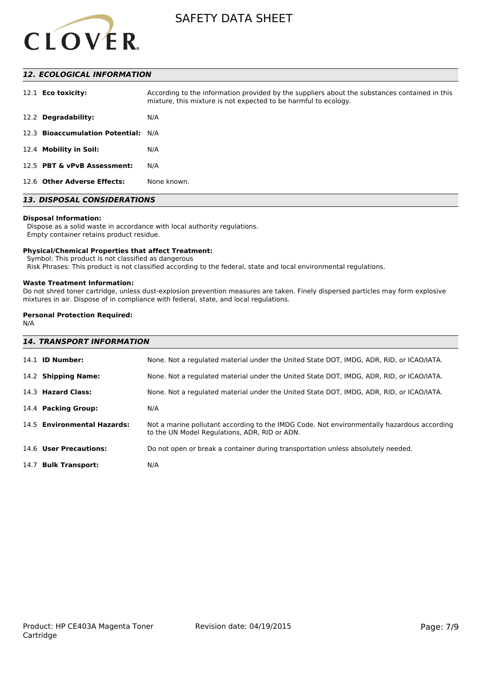

## *12. ECOLOGICAL INFORMATION*

| 12.1 <b>Eco toxicity:</b>           | According to the information provided by the suppliers about the substances contained in this<br>mixture, this mixture is not expected to be harmful to ecology. |
|-------------------------------------|------------------------------------------------------------------------------------------------------------------------------------------------------------------|
| 12.2 Degradability:                 | N/A                                                                                                                                                              |
| 12.3 Bioaccumulation Potential: N/A |                                                                                                                                                                  |
| 12.4 Mobility in Soil:              | N/A                                                                                                                                                              |
| 12.5 PBT & vPvB Assessment:         | N/A                                                                                                                                                              |
| 12.6 Other Adverse Effects:         | None known.                                                                                                                                                      |

# *13. DISPOSAL CONSIDERATIONS*

#### **Disposal Information:**

 Dispose as a solid waste in accordance with local authority regulations. Empty container retains product residue.

#### **Physical/Chemical Properties that affect Treatment:**

Symbol: This product is not classified as dangerous

Risk Phrases: This product is not classified according to the federal, state and local environmental regulations.

#### **Waste Treatment Information:**

Do not shred toner cartridge, unless dust-explosion prevention measures are taken. Finely dispersed particles may form explosive mixtures in air. Dispose of in compliance with federal, state, and local regulations.

#### **Personal Protection Required:**

N/A

| <b>14. TRANSPORT INFORMATION</b> |                                                                                                                                             |  |
|----------------------------------|---------------------------------------------------------------------------------------------------------------------------------------------|--|
| 14.1 <b>ID Number:</b>           | None. Not a regulated material under the United State DOT, IMDG, ADR, RID, or ICAO/IATA.                                                    |  |
| 14.2 Shipping Name:              | None. Not a regulated material under the United State DOT, IMDG, ADR, RID, or ICAO/IATA.                                                    |  |
| 14.3 Hazard Class:               | None. Not a regulated material under the United State DOT, IMDG, ADR, RID, or ICAO/IATA.                                                    |  |
| 14.4 Packing Group:              | N/A                                                                                                                                         |  |
| 14.5 Environmental Hazards:      | Not a marine pollutant according to the IMDG Code. Not environmentally hazardous according<br>to the UN Model Regulations, ADR, RID or ADN. |  |
| 14.6 User Precautions:           | Do not open or break a container during transportation unless absolutely needed.                                                            |  |
| 14.7 Bulk Transport:             | N/A                                                                                                                                         |  |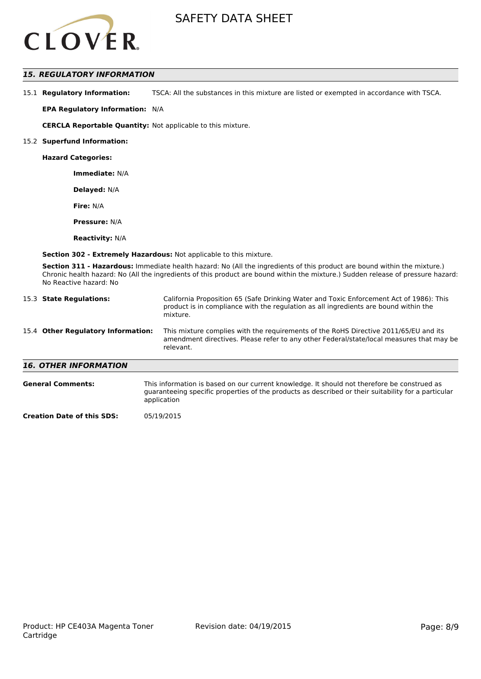

### *15. REGULATORY INFORMATION*

15.1 **Regulatory Information:** TSCA: All the substances in this mixture are listed or exempted in accordance with TSCA.

**EPA Regulatory Information:** N/A

**CERCLA Reportable Quantity:** Not applicable to this mixture.

#### 15.2 **Superfund Information:**

**Hazard Categories:**

**Immediate:** N/A

**Delayed:** N/A

**Fire:** N/A

**Pressure:** N/A

**Reactivity:** N/A

**Section 302 - Extremely Hazardous:** Not applicable to this mixture.

**Section 311 - Hazardous:** Immediate health hazard: No (All the ingredients of this product are bound within the mixture.) Chronic health hazard: No (All the ingredients of this product are bound within the mixture.) Sudden release of pressure hazard: No Reactive hazard: No

| 15.3 State Regulations:            | California Proposition 65 (Safe Drinking Water and Toxic Enforcement Act of 1986): This<br>product is in compliance with the regulation as all ingredients are bound within the<br>mixture.   |  |
|------------------------------------|-----------------------------------------------------------------------------------------------------------------------------------------------------------------------------------------------|--|
| 15.4 Other Regulatory Information: | This mixture complies with the requirements of the RoHS Directive 2011/65/EU and its<br>amendment directives. Please refer to any other Federal/state/local measures that may be<br>relevant. |  |
| <b>16. OTHER INFORMATION</b>       |                                                                                                                                                                                               |  |
| <b>General Comments:</b>           | This information is based on our current knowledge. It should not therefore be construed as                                                                                                   |  |

guaranteeing specific properties of the products as described or their suitability for a particular

application

**Creation Date of this SDS:** 05/19/2015